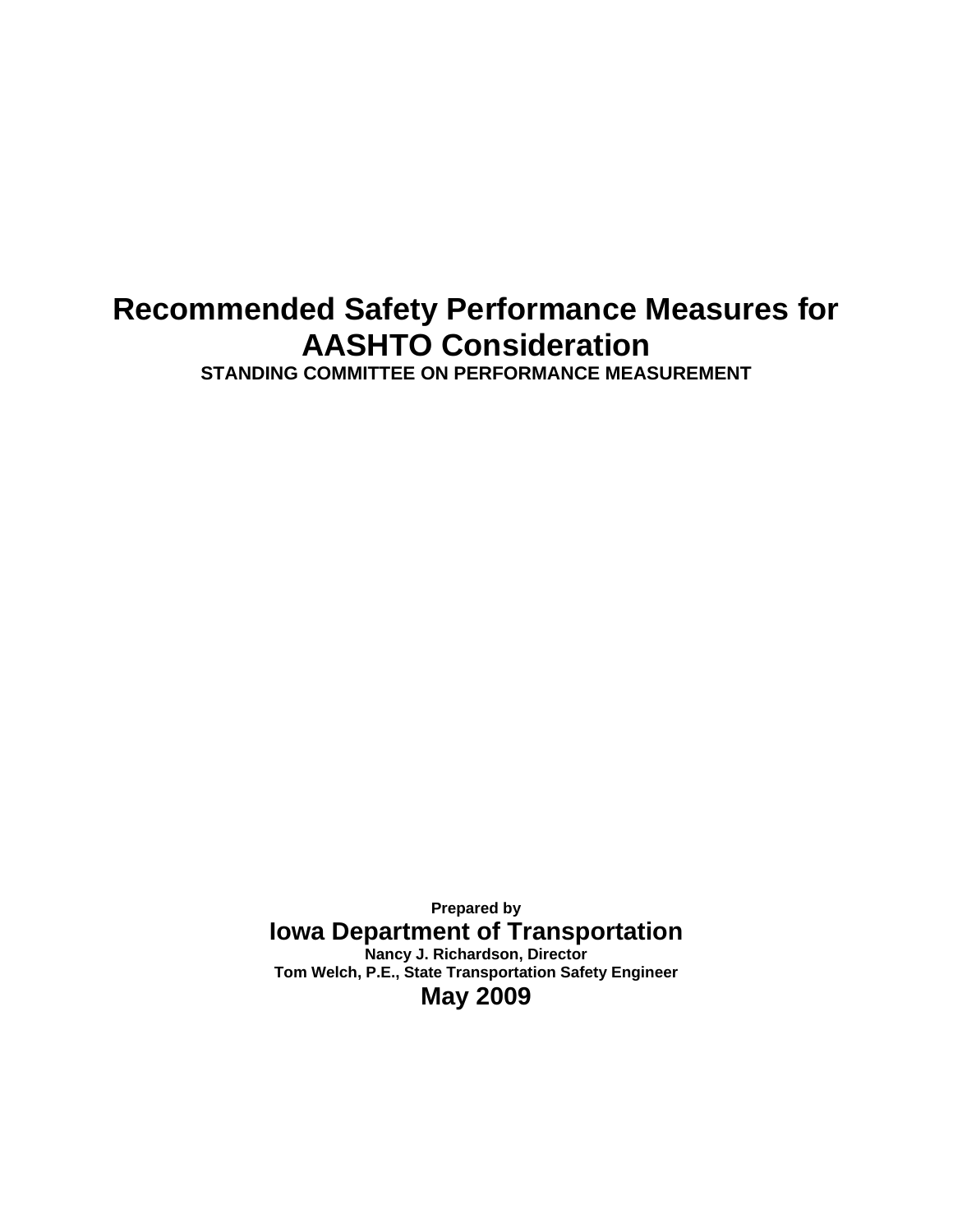# **Recommended Safety Performance Measures for AASHTO Consideration**

**STANDING COMMITTEE ON PERFORMANCE MEASUREMENT** 

**Prepared by Iowa Department of Transportation Nancy J. Richardson, Director Tom Welch, P.E., State Transportation Safety Engineer May 2009**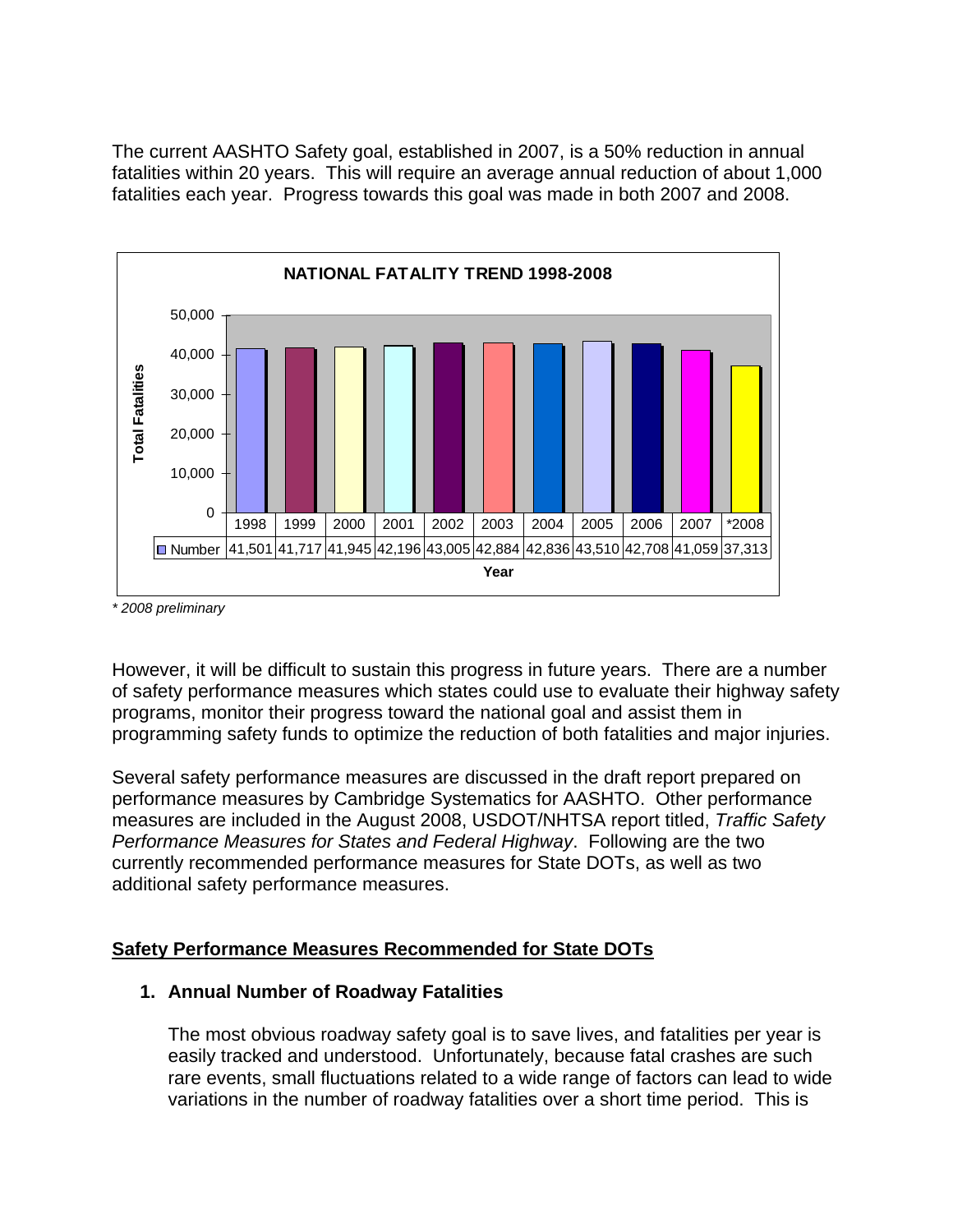The current AASHTO Safety goal, established in 2007, is a 50% reduction in annual fatalities within 20 years. This will require an average annual reduction of about 1,000 fatalities each year. Progress towards this goal was made in both 2007 and 2008.



*\* 2008 preliminary* 

However, it will be difficult to sustain this progress in future years. There are a number of safety performance measures which states could use to evaluate their highway safety programs, monitor their progress toward the national goal and assist them in programming safety funds to optimize the reduction of both fatalities and major injuries.

Several safety performance measures are discussed in the draft report prepared on performance measures by Cambridge Systematics for AASHTO. Other performance measures are included in the August 2008, USDOT/NHTSA report titled, *Traffic Safety Performance Measures for States and Federal Highway*. Following are the two currently recommended performance measures for State DOTs, as well as two additional safety performance measures.

# **Safety Performance Measures Recommended for State DOTs**

### **1. Annual Number of Roadway Fatalities**

The most obvious roadway safety goal is to save lives, and fatalities per year is easily tracked and understood. Unfortunately, because fatal crashes are such rare events, small fluctuations related to a wide range of factors can lead to wide variations in the number of roadway fatalities over a short time period. This is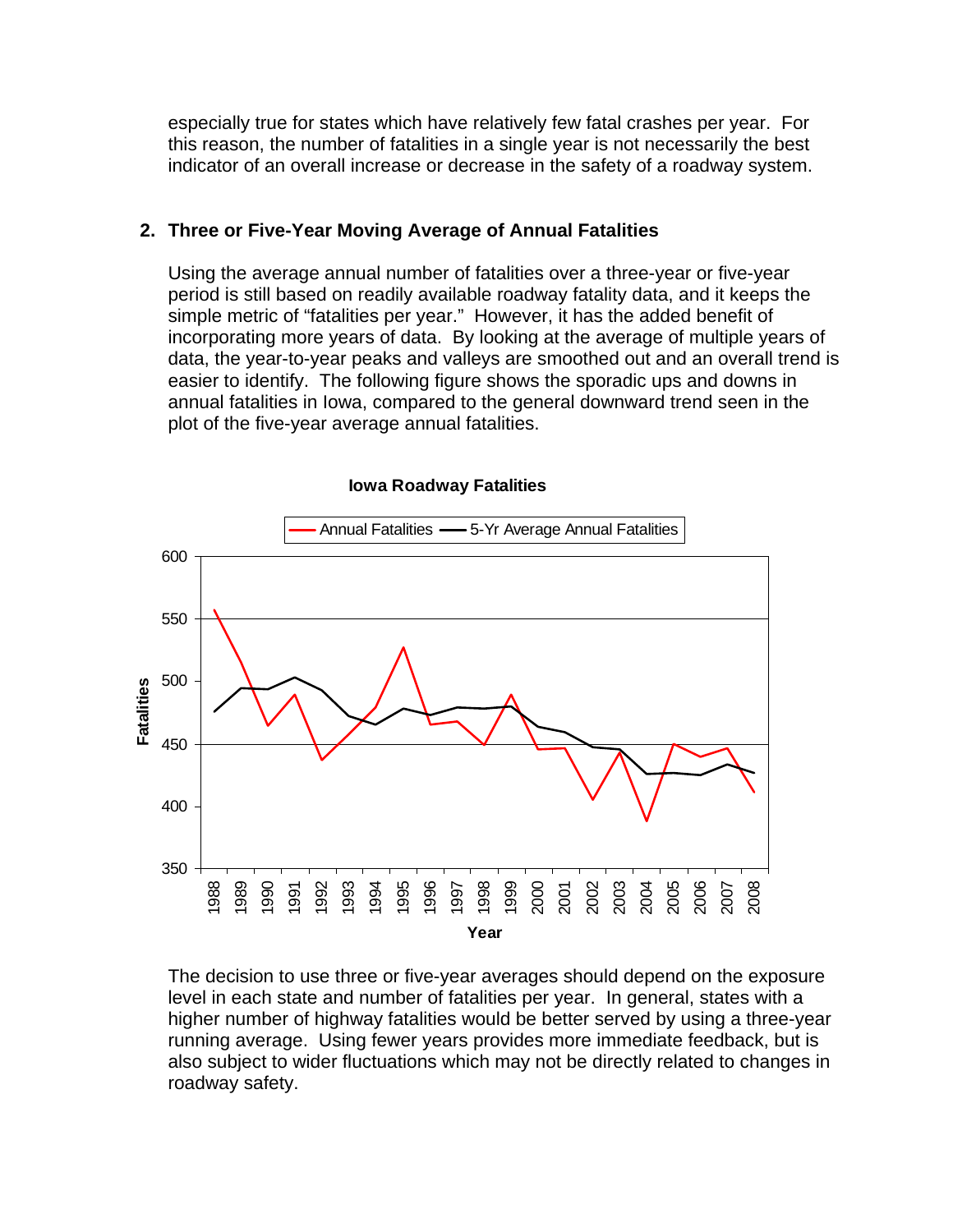especially true for states which have relatively few fatal crashes per year. For this reason, the number of fatalities in a single year is not necessarily the best indicator of an overall increase or decrease in the safety of a roadway system.

## **2. Three or Five-Year Moving Average of Annual Fatalities**

Using the average annual number of fatalities over a three-year or five-year period is still based on readily available roadway fatality data, and it keeps the simple metric of "fatalities per year." However, it has the added benefit of incorporating more years of data. By looking at the average of multiple years of data, the year-to-year peaks and valleys are smoothed out and an overall trend is easier to identify. The following figure shows the sporadic ups and downs in annual fatalities in Iowa, compared to the general downward trend seen in the plot of the five-year average annual fatalities.



#### **Iowa Roadway Fatalities**

The decision to use three or five-year averages should depend on the exposure level in each state and number of fatalities per year. In general, states with a higher number of highway fatalities would be better served by using a three-year running average. Using fewer years provides more immediate feedback, but is also subject to wider fluctuations which may not be directly related to changes in roadway safety.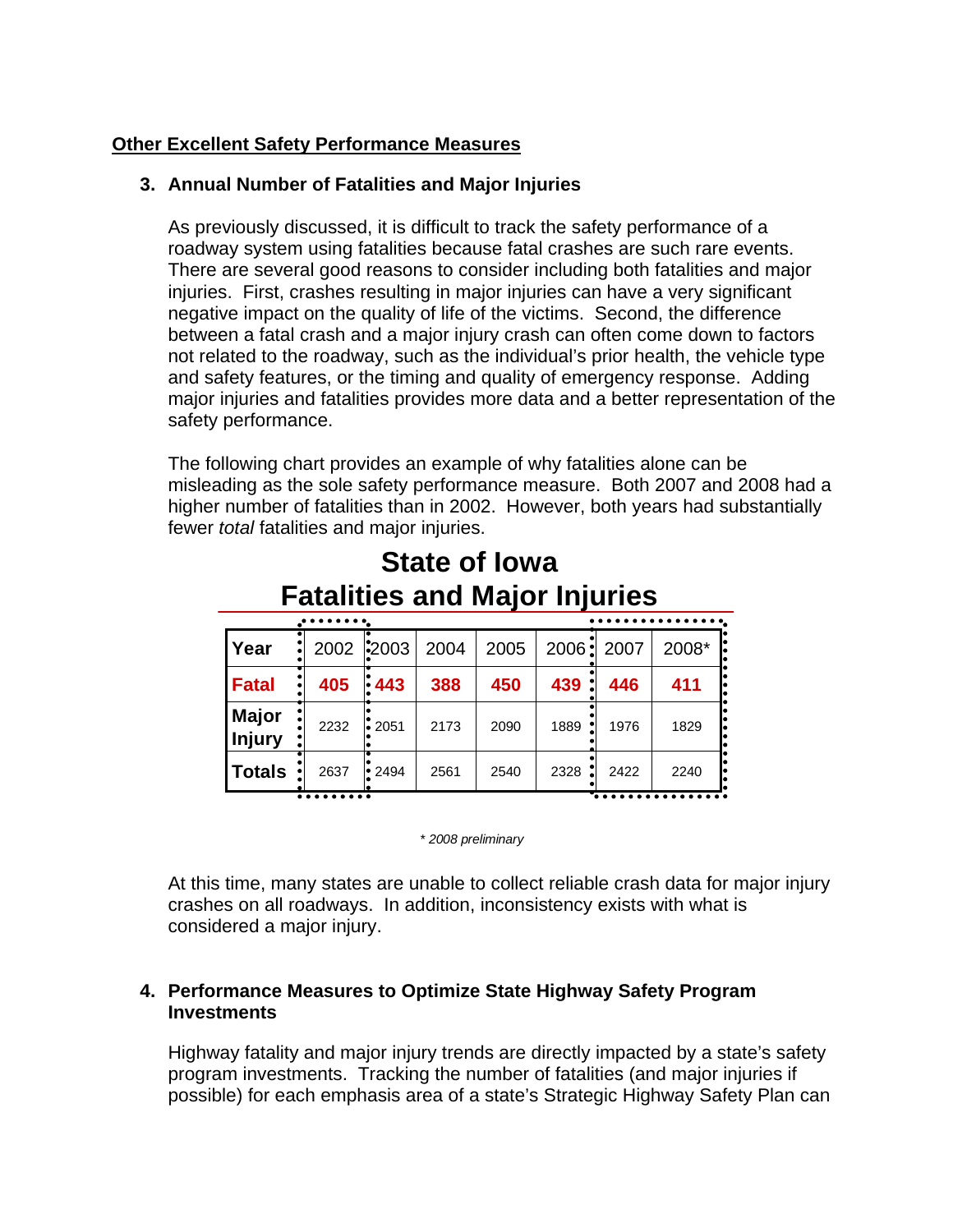# **Other Excellent Safety Performance Measures**

## **3. Annual Number of Fatalities and Major Injuries**

As previously discussed, it is difficult to track the safety performance of a roadway system using fatalities because fatal crashes are such rare events. There are several good reasons to consider including both fatalities and major injuries. First, crashes resulting in major injuries can have a very significant negative impact on the quality of life of the victims. Second, the difference between a fatal crash and a major injury crash can often come down to factors not related to the roadway, such as the individual's prior health, the vehicle type and safety features, or the timing and quality of emergency response. Adding major injuries and fatalities provides more data and a better representation of the safety performance.

The following chart provides an example of why fatalities alone can be misleading as the sole safety performance measure. Both 2007 and 2008 had a higher number of fatalities than in 2002. However, both years had substantially fewer *total* fatalities and major injuries.

| i alahticə and major injuricə |      |              |      |      |      |            |       |  |
|-------------------------------|------|--------------|------|------|------|------------|-------|--|
|                               |      |              |      |      |      |            |       |  |
| <b>Year</b>                   | 2002 | <b>2003</b>  | 2004 | 2005 |      | 2006: 2007 | 2008* |  |
| Fatal                         | 405  | $\mid$ 443   | 388  | 450  | 439  | 446        | 411   |  |
| <b>Major</b><br>Injury        | 2232 | $\cdot$ 2051 | 2173 | 2090 | 1889 | 1976       | 1829  |  |
| Totals                        | 2637 | $\cdot$ 2494 | 2561 | 2540 | 2328 | 2422       | 2240  |  |
|                               |      |              |      |      |      |            |       |  |

# **State of Iowa Fatalities and Major Injuries**

*\* 2008 preliminary*

At this time, many states are unable to collect reliable crash data for major injury crashes on all roadways. In addition, inconsistency exists with what is considered a major injury.

### **4. Performance Measures to Optimize State Highway Safety Program Investments**

Highway fatality and major injury trends are directly impacted by a state's safety program investments. Tracking the number of fatalities (and major injuries if possible) for each emphasis area of a state's Strategic Highway Safety Plan can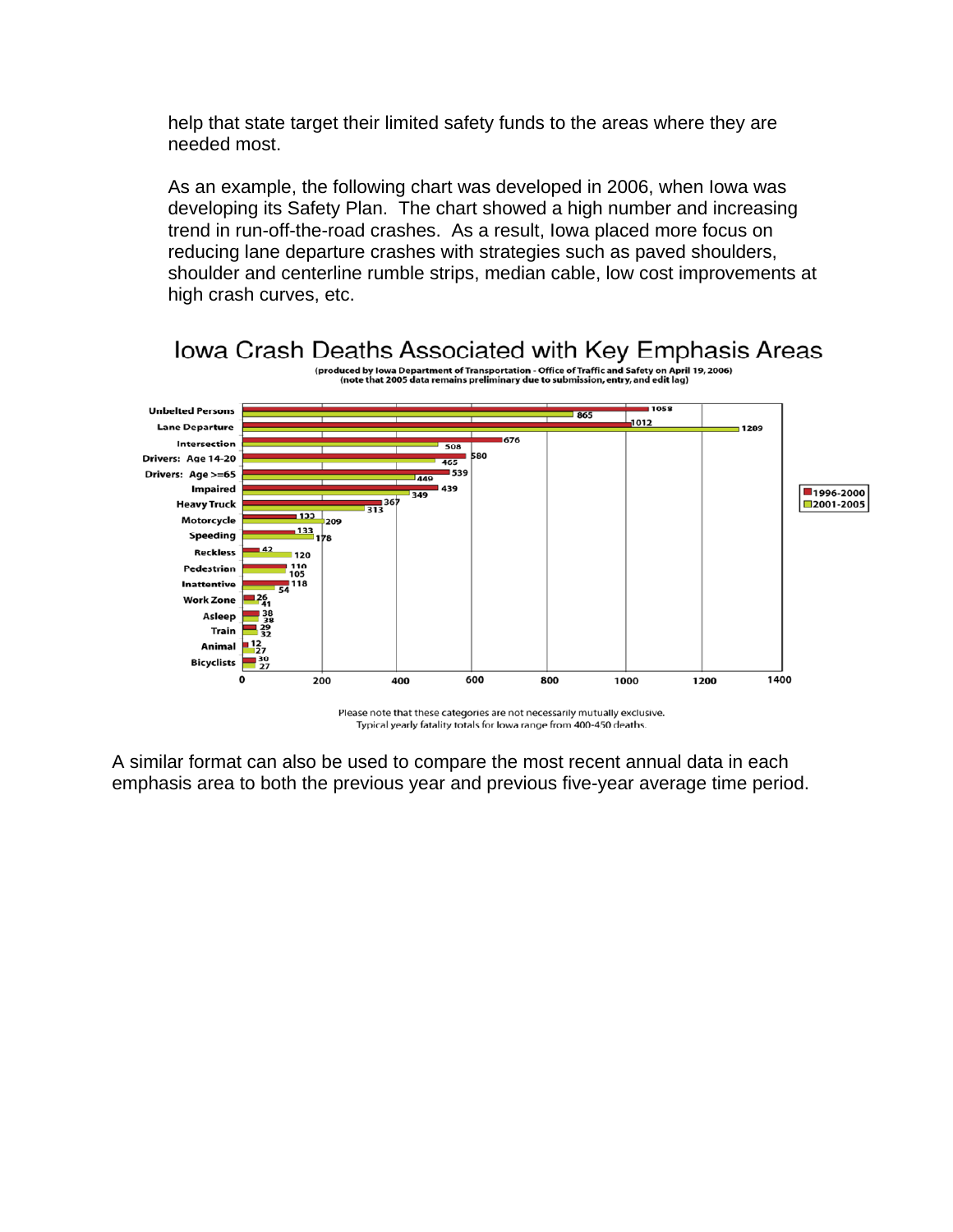help that state target their limited safety funds to the areas where they are needed most.

As an example, the following chart was developed in 2006, when Iowa was developing its Safety Plan. The chart showed a high number and increasing trend in run-off-the-road crashes. As a result, Iowa placed more focus on reducing lane departure crashes with strategies such as paved shoulders, shoulder and centerline rumble strips, median cable, low cost improvements at high crash curves, etc.



Please note that these categories are not necessarily mutually exclusive. Typical yearly fatality totals for lowa range from 400-450 deaths.

A similar format can also be used to compare the most recent annual data in each emphasis area to both the previous year and previous five-year average time period.